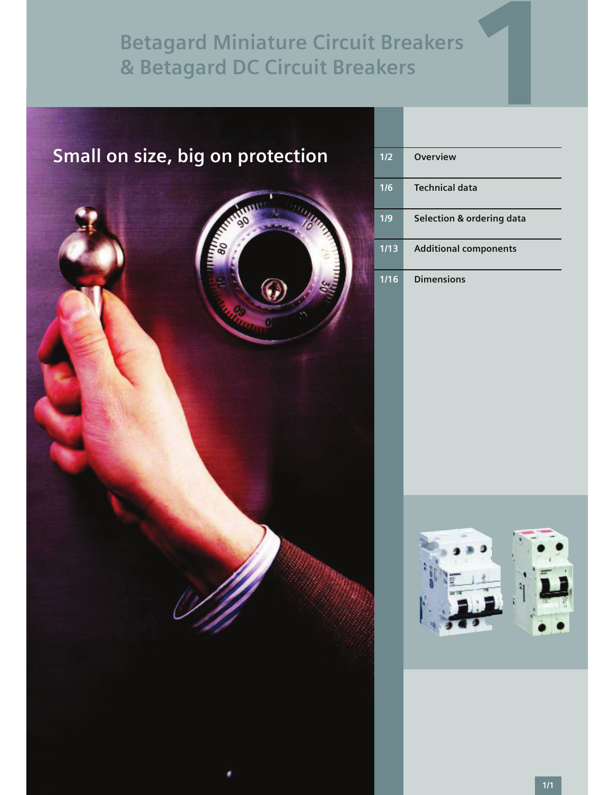

| 1/2  | <b>Overview</b>              |
|------|------------------------------|
| 1/6  | <b>Technical data</b>        |
| 1/9  | Selection & ordering data    |
| 1/13 | <b>Additional components</b> |
| 1/16 | <b>Dimensions</b>            |

1

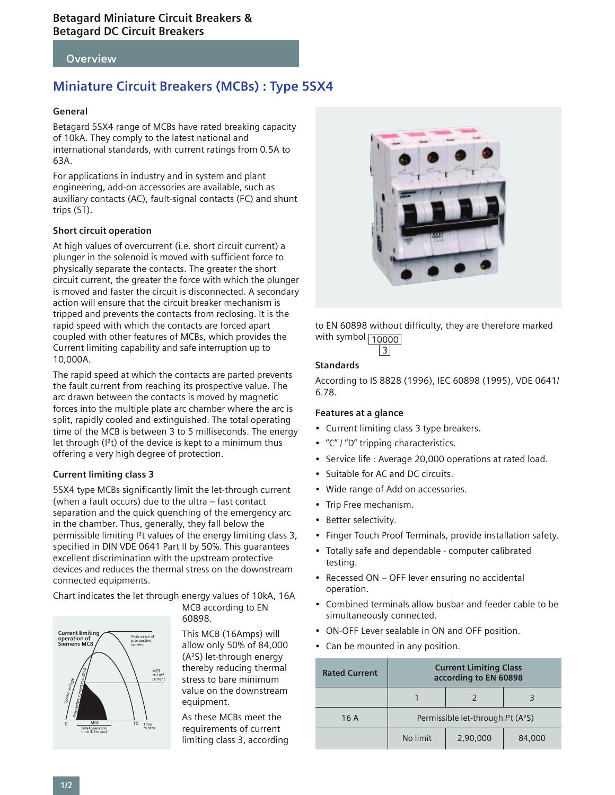### **Overview**

# **Miniature Circuit Breakers (MCBs) : Type 5SX4**

### **General**

Betagard 5SX4 range of MCBs have rated breaking capacity of 10kA. They comply to the latest national and international standards, with current ratings from 0.5A to 63A.

For applications in industry and in system and plant engineering, add-on accessories are available, such as auxiliary contacts (AC), fault-signal contacts (FC) and shunt trips (ST).

### **Short circuit operation**

At high values of overcurrent (i.e. short circuit current) a plunger in the solenoid is moved with sufficient force to physically separate the contacts. The greater the short circuit current, the greater the force with which the plunger is moved and faster the circuit is disconnected. A secondary action will ensure that the circuit breaker mechanism is tripped and prevents the contacts from reclosing. It is the rapid speed with which the contacts are forced apart coupled with other features of MCBs, which provides the Current limiting capability and safe interruption up to 10,000A.

The rapid speed at which the contacts are parted prevents the fault current from reaching its prospective value. The arc drawn between the contacts is moved by magnetic forces into the multiple plate arc chamber where the arc is split, rapidly cooled and extinguished. The total operating time of the MCB is between 3 to 5 milliseconds. The energy let through (I²t) of the device is kept to a minimum thus offering a very high degree of protection.

### **Current limiting class 3**

5SX4 type MCBs significantly limit the let-through current (when a fault occurs) due to the ultra – fast contact separation and the quick quenching of the emergency arc in the chamber. Thus, generally, they fall below the permissible limiting I²t values of the energy limiting class 3, specified in DIN VDE 0641 Part II by 50%. This guarantees excellent discrimination with the upstream protective devices and reduces the thermal stress on the downstream connected equipments.

Chart indicates the let through energy values of 10kA, 16A



MCB according to EN 60898.

This MCB (16Amps) will allow only 50% of 84,000 (A²S) let-through energy thereby reducing thermal stress to bare minimum value on the downstream equipment.

As these MCBs meet the requirements of current limiting class 3, according



to EN 60898 without difficulty, they are therefore marked with symbol  $\boxed{10000}$  $|3|$ 

### **Standards**

According to IS 8828 (1996), IEC 60898 (1995), VDE 0641/ 6.78.

### **Features at a glance**

- Current limiting class 3 type breakers.
- "C" / "D" tripping characteristics.
- Service life : Average 20,000 operations at rated load.
- Suitable for AC and DC circuits.
- Wide range of Add on accessories.
- Trip Free mechanism.
- Better selectivity.
- Finger Touch Proof Terminals, provide installation safety.
- Totally safe and dependable computer calibrated testing.
- Recessed ON OFF lever ensuring no accidental operation.
- Combined terminals allow busbar and feeder cable to be simultaneously connected.
- ON-OFF Lever sealable in ON and OFF position.
- Can be mounted in any position.

| <b>Rated Current</b> | <b>Current Limiting Class</b><br>according to EN 60898 |          |        |  |  |  |
|----------------------|--------------------------------------------------------|----------|--------|--|--|--|
|                      |                                                        |          |        |  |  |  |
| 16A                  | Permissible let-through $l^2$ t (A <sup>2</sup> S)     |          |        |  |  |  |
|                      | No limit                                               | 2,90,000 | 84,000 |  |  |  |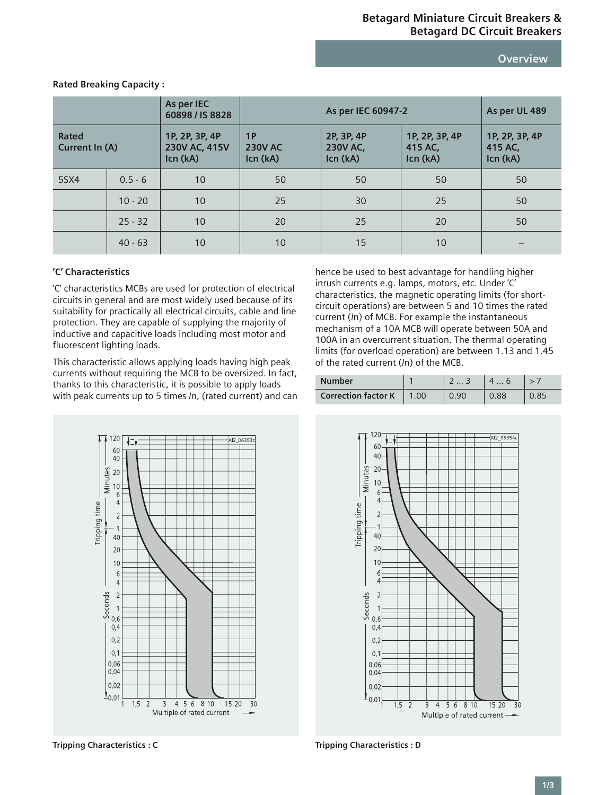**Overview**

|                         |           | As per IEC<br>60898 / IS 8828               | As per IEC 60947-2               |                                           |                                       | As per UL 489                         |
|-------------------------|-----------|---------------------------------------------|----------------------------------|-------------------------------------------|---------------------------------------|---------------------------------------|
| Rated<br>Current In (A) |           | 1P, 2P, 3P, 4P<br>230V AC, 415V<br>Icn (kA) | 1P<br><b>230V AC</b><br>Icn (kA) | 2P, 3P, 4P<br><b>230V AC,</b><br>Icn (kA) | 1P, 2P, 3P, 4P<br>415 AC,<br>Icn (kA) | 1P, 2P, 3P, 4P<br>415 AC,<br>Icn (kA) |
| 5SX4                    | $0.5 - 6$ | 10                                          | 50                               | 50                                        | 50                                    | 50                                    |
|                         | $10 - 20$ | 10                                          | 25                               | 30                                        | 25                                    | 50                                    |
|                         | $25 - 32$ | 10                                          | 20                               | 25                                        | 20                                    | 50                                    |
|                         | $40 - 63$ | 10                                          | 10                               | 15                                        | 10                                    |                                       |

**Rated Breaking Capacity :**

### **'C' Characteristics**

'C' characteristics MCBs are used for protection of electrical circuits in general and are most widely used because of its suitability for practically all electrical circuits, cable and line protection. They are capable of supplying the majority of inductive and capacitive loads including most motor and fluorescent lighting loads.

This characteristic allows applying loads having high peak currents without requiring the MCB to be oversized. In fact, thanks to this characteristic, it is possible to apply loads with peak currents up to 5 times *I*n, (rated current) and can hence be used to best advantage for handling higher inrush currents e.g. lamps, motors, etc. Under 'C' characteristics, the magnetic operating limits (for shortcircuit operations) are between 5 and 10 times the rated current (*I*n) of MCB. For example the instantaneous mechanism of a 10A MCB will operate between 50A and 100A in an overcurrent situation. The thermal operating limits (for overload operation) are between 1.13 and 1.45 of the rated current (*I*n) of the MCB.

| <b>Number</b>              |      |  |  |
|----------------------------|------|--|--|
| <b>Correction factor K</b> | 1.00 |  |  |





**Tripping Characteristics : C Tripping Characteristics : D**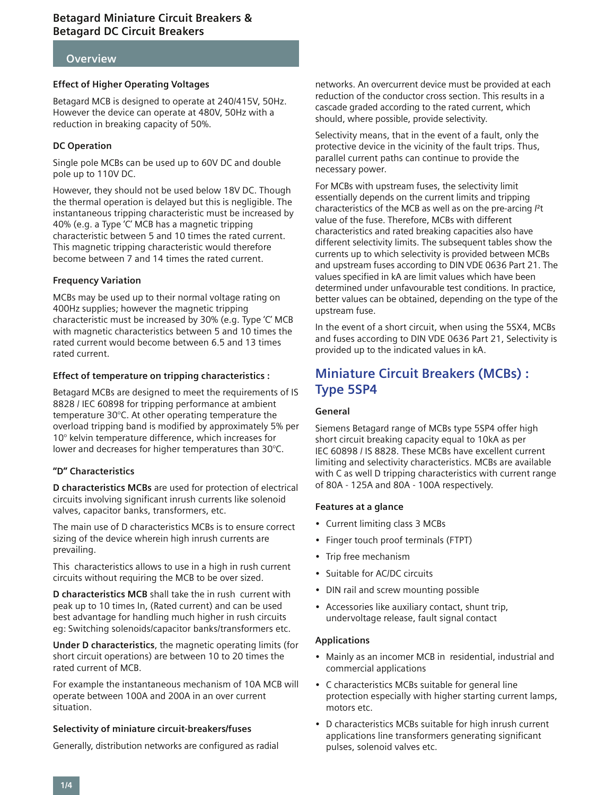### **Overview**

### **Effect of Higher Operating Voltages**

Betagard MCB is designed to operate at 240/415V, 50Hz. However the device can operate at 480V, 50Hz with a reduction in breaking capacity of 50%.

### **DC Operation**

Single pole MCBs can be used up to 60V DC and double pole up to 110V DC.

However, they should not be used below 18V DC. Though the thermal operation is delayed but this is negligible. The instantaneous tripping characteristic must be increased by 40% (e.g. a Type 'C' MCB has a magnetic tripping characteristic between 5 and 10 times the rated current. This magnetic tripping characteristic would therefore become between 7 and 14 times the rated current.

### **Frequency Variation**

MCBs may be used up to their normal voltage rating on 400Hz supplies; however the magnetic tripping characteristic must be increased by 30% (e.g. Type 'C' MCB with magnetic characteristics between 5 and 10 times the rated current would become between 6.5 and 13 times rated current.

### **Effect of temperature on tripping characteristics :**

Betagard MCBs are designed to meet the requirements of IS 8828 / IEC 60898 for tripping performance at ambient temperature 30°C. At other operating temperature the overload tripping band is modified by approximately 5% per 10° kelvin temperature difference, which increases for lower and decreases for higher temperatures than 30°C.

### **"D" Characteristics**

**D characteristics MCBs** are used for protection of electrical circuits involving significant inrush currents like solenoid valves, capacitor banks, transformers, etc.

The main use of D characteristics MCBs is to ensure correct sizing of the device wherein high inrush currents are prevailing.

This characteristics allows to use in a high in rush current circuits without requiring the MCB to be over sized.

**D characteristics MCB** shall take the in rush current with peak up to 10 times In, (Rated current) and can be used best advantage for handling much higher in rush circuits eg: Switching solenoids/capacitor banks/transformers etc.

**Under D characteristics**, the magnetic operating limits (for short circuit operations) are between 10 to 20 times the rated current of MCB.

For example the instantaneous mechanism of 10A MCB will operate between 100A and 200A in an over current situation.

### **Selectivity of miniature circuit-breakers/fuses**

Generally, distribution networks are configured as radial

networks. An overcurrent device must be provided at each reduction of the conductor cross section. This results in a cascade graded according to the rated current, which should, where possible, provide selectivity.

Selectivity means, that in the event of a fault, only the protective device in the vicinity of the fault trips. Thus, parallel current paths can continue to provide the necessary power.

For MCBs with upstream fuses, the selectivity limit essentially depends on the current limits and tripping characteristics of the MCB as well as on the pre-arcing *I*²t value of the fuse. Therefore, MCBs with different characteristics and rated breaking capacities also have different selectivity limits. The subsequent tables show the currents up to which selectivity is provided between MCBs and upstream fuses according to DIN VDE 0636 Part 21. The values specified in kA are limit values which have been determined under unfavourable test conditions. In practice, better values can be obtained, depending on the type of the upstream fuse.

In the event of a short circuit, when using the 5SX4, MCBs and fuses according to DIN VDE 0636 Part 21, Selectivity is provided up to the indicated values in kA.

# **Miniature Circuit Breakers (MCBs) : Type 5SP4**

### **General**

Siemens Betagard range of MCBs type 5SP4 offer high short circuit breaking capacity equal to 10kA as per IEC 60898 / IS 8828. These MCBs have excellent current limiting and selectivity characteristics. MCBs are available with C as well D tripping characteristics with current range of 80A - 125A and 80A - 100A respectively.

### **Features at a glance**

- Current limiting class 3 MCBs
- Finger touch proof terminals (FTPT)
- Trip free mechanism
- Suitable for AC/DC circuits
- DIN rail and screw mounting possible
- Accessories like auxiliary contact, shunt trip, undervoltage release, fault signal contact

### **Applications**

- Mainly as an incomer MCB in residential, industrial and commercial applications
- C characteristics MCBs suitable for general line protection especially with higher starting current lamps, motors etc.
- D characteristics MCBs suitable for high inrush current applications line transformers generating significant pulses, solenoid valves etc.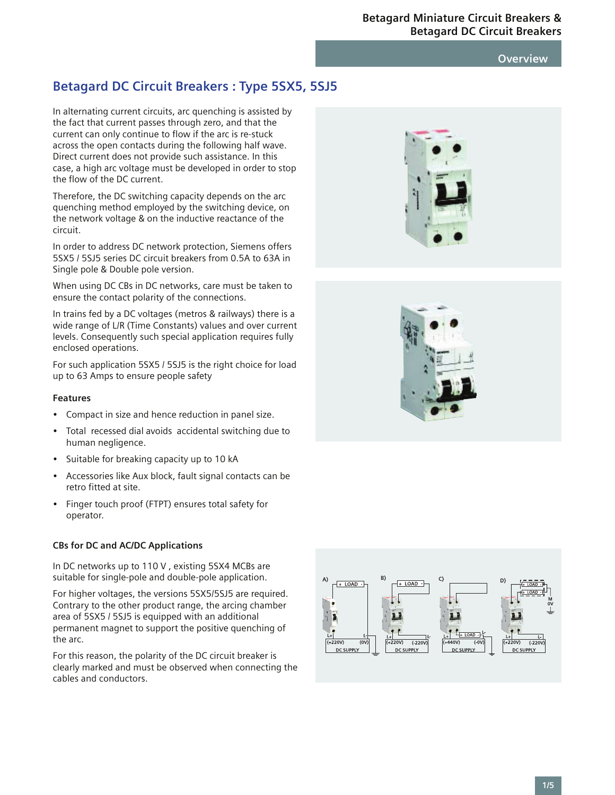### **Overview**

# **Betagard DC Circuit Breakers : Type 5SX5, 5SJ5**

In alternating current circuits, arc quenching is assisted by the fact that current passes through zero, and that the current can only continue to flow if the arc is re-stuck across the open contacts during the following half wave. Direct current does not provide such assistance. In this case, a high arc voltage must be developed in order to stop the flow of the DC current.

Therefore, the DC switching capacity depends on the arc quenching method employed by the switching device, on the network voltage & on the inductive reactance of the circuit.

In order to address DC network protection, Siemens offers 5SX5 / 5SJ5 series DC circuit breakers from 0.5A to 63A in Single pole & Double pole version.

When using DC CBs in DC networks, care must be taken to ensure the contact polarity of the connections.

In trains fed by a DC voltages (metros & railways) there is a wide range of L/R (Time Constants) values and over current levels. Consequently such special application requires fully enclosed operations.

For such application 5SX5 / 5SJ5 is the right choice for load up to 63 Amps to ensure people safety

### **Features**

- Compact in size and hence reduction in panel size.
- Total recessed dial avoids accidental switching due to human negligence.
- Suitable for breaking capacity up to 10 kA
- Accessories like Aux block, fault signal contacts can be retro fitted at site.
- Finger touch proof (FTPT) ensures total safety for operator.

### **CBs for DC and AC/DC Applications**

In DC networks up to 110 V , existing 5SX4 MCBs are suitable for single-pole and double-pole application.

For higher voltages, the versions 5SX5/5SJ5 are required. Contrary to the other product range, the arcing chamber area of 5SX5 / 5SJ5 is equipped with an additional permanent magnet to support the positive quenching of the arc.

For this reason, the polarity of the DC circuit breaker is clearly marked and must be observed when connecting the cables and conductors.





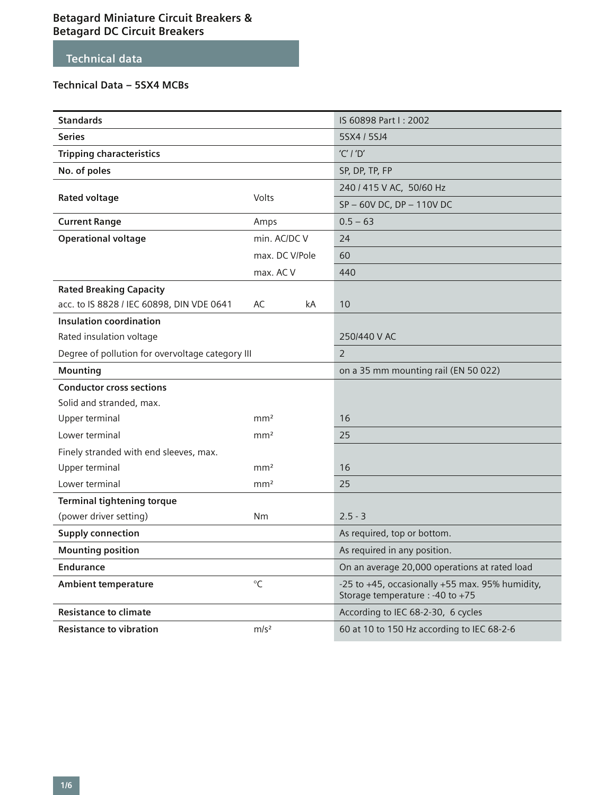# **Technical data**

# **Technical Data – 5SX4 MCBs**

| <b>Standards</b>                                 |                  |    | IS 60898 Part I: 2002                                                               |  |
|--------------------------------------------------|------------------|----|-------------------------------------------------------------------------------------|--|
| <b>Series</b>                                    |                  |    | 5SX4 / 5SJ4                                                                         |  |
| <b>Tripping characteristics</b>                  |                  |    | $'C'$ / 'D'                                                                         |  |
| No. of poles                                     |                  |    | SP, DP, TP, FP                                                                      |  |
|                                                  |                  |    | 240 / 415 V AC, 50/60 Hz                                                            |  |
| <b>Rated voltage</b>                             | Volts            |    | SP-60V DC, DP-110V DC                                                               |  |
| <b>Current Range</b>                             | Amps             |    | $0.5 - 63$                                                                          |  |
| <b>Operational voltage</b>                       | min. AC/DC V     |    | 24                                                                                  |  |
|                                                  | max. DC V/Pole   |    | 60                                                                                  |  |
|                                                  | max. AC V        |    | 440                                                                                 |  |
| <b>Rated Breaking Capacity</b>                   |                  |    |                                                                                     |  |
| acc. to IS 8828 / IEC 60898, DIN VDE 0641        | AC               | kA | 10                                                                                  |  |
| <b>Insulation coordination</b>                   |                  |    |                                                                                     |  |
| Rated insulation voltage                         |                  |    | 250/440 V AC                                                                        |  |
| Degree of pollution for overvoltage category III |                  |    | $\overline{2}$                                                                      |  |
| Mounting                                         |                  |    | on a 35 mm mounting rail (EN 50 022)                                                |  |
| <b>Conductor cross sections</b>                  |                  |    |                                                                                     |  |
| Solid and stranded, max.                         |                  |    |                                                                                     |  |
| Upper terminal                                   | mm <sup>2</sup>  |    | 16                                                                                  |  |
| Lower terminal                                   | mm <sup>2</sup>  |    | 25                                                                                  |  |
| Finely stranded with end sleeves, max.           |                  |    |                                                                                     |  |
| Upper terminal                                   | mm <sup>2</sup>  |    | 16                                                                                  |  |
| Lower terminal                                   | mm <sup>2</sup>  |    | 25                                                                                  |  |
| <b>Terminal tightening torque</b>                |                  |    |                                                                                     |  |
| (power driver setting)                           | Nm               |    | $2.5 - 3$                                                                           |  |
| <b>Supply connection</b>                         |                  |    | As required, top or bottom.                                                         |  |
| <b>Mounting position</b>                         |                  |    | As required in any position.                                                        |  |
| <b>Endurance</b>                                 |                  |    | On an average 20,000 operations at rated load                                       |  |
| <b>Ambient temperature</b>                       | $^{\circ}C$      |    | -25 to +45, occasionally +55 max. 95% humidity,<br>Storage temperature : -40 to +75 |  |
| <b>Resistance to climate</b>                     |                  |    | According to IEC 68-2-30, 6 cycles                                                  |  |
| <b>Resistance to vibration</b>                   | m/s <sup>2</sup> |    | 60 at 10 to 150 Hz according to IEC 68-2-6                                          |  |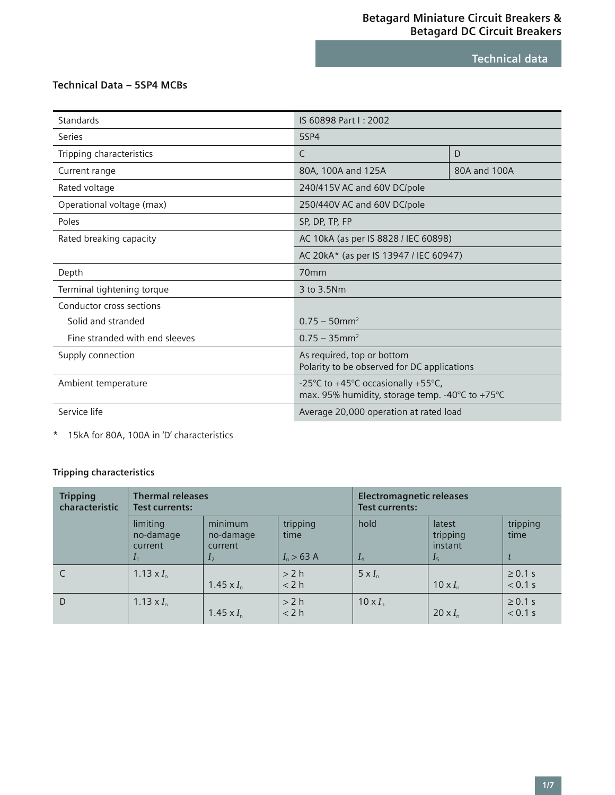**Technical data**

# **Technical Data – 5SP4 MCBs**

| Standards                      | IS 60898 Part I: 2002                                                                 |              |  |  |
|--------------------------------|---------------------------------------------------------------------------------------|--------------|--|--|
| Series                         | 5SP4                                                                                  |              |  |  |
| Tripping characteristics       | $\mathsf{C}$<br>D                                                                     |              |  |  |
| Current range                  | 80A, 100A and 125A                                                                    | 80A and 100A |  |  |
| Rated voltage                  | 240/415V AC and 60V DC/pole                                                           |              |  |  |
| Operational voltage (max)      | 250/440V AC and 60V DC/pole                                                           |              |  |  |
| Poles                          | SP, DP, TP, FP                                                                        |              |  |  |
| Rated breaking capacity        | AC 10kA (as per IS 8828 / IEC 60898)                                                  |              |  |  |
|                                | AC 20kA* (as per IS 13947 / IEC 60947)                                                |              |  |  |
| Depth                          | 70 <sub>mm</sub>                                                                      |              |  |  |
| Terminal tightening torque     | 3 to 3.5Nm                                                                            |              |  |  |
| Conductor cross sections       |                                                                                       |              |  |  |
| Solid and stranded             | $0.75 - 50$ mm <sup>2</sup>                                                           |              |  |  |
| Fine stranded with end sleeves | $0.75 - 35$ mm <sup>2</sup>                                                           |              |  |  |
| Supply connection              | As required, top or bottom<br>Polarity to be observed for DC applications             |              |  |  |
| Ambient temperature            | -25°C to +45°C occasionally +55°C,<br>max. 95% humidity, storage temp. -40°C to +75°C |              |  |  |
| Service life                   | Average 20,000 operation at rated load                                                |              |  |  |

\* 15kA for 80A, 100A in 'D' characteristics

# **Tripping characteristics**

| <b>Tripping</b><br>characteristic | <b>Thermal releases</b><br>Test currents: |                                                          |                                  | <b>Electromagnetic releases</b><br><b>Test currents:</b> |                                                 |                         |
|-----------------------------------|-------------------------------------------|----------------------------------------------------------|----------------------------------|----------------------------------------------------------|-------------------------------------------------|-------------------------|
|                                   | limiting<br>no-damage<br>current          | minimum<br>no-damage<br><b>current</b><br>I <sub>2</sub> | tripping<br>time<br>$I_n > 63$ A | hold<br>$I_4$                                            | latest<br>tripping<br>instant<br>I <sub>5</sub> | tripping<br>time        |
| C                                 | 1.13 $\times I_n$                         | 1.45 $\times I_n$                                        | >2 h<br>< 2 h                    | $5 \times I_n$                                           | 10 $\times I_n$                                 | $\geq 0.1$ s<br>< 0.1 s |
| D                                 | 1.13 $\times I_n$                         | $1.45 \times I_n$                                        | >2 h<br>< 2 h                    | $10 \times I_n$                                          | 20 $\times I_n$                                 | $\geq 0.1$ s<br>< 0.1 s |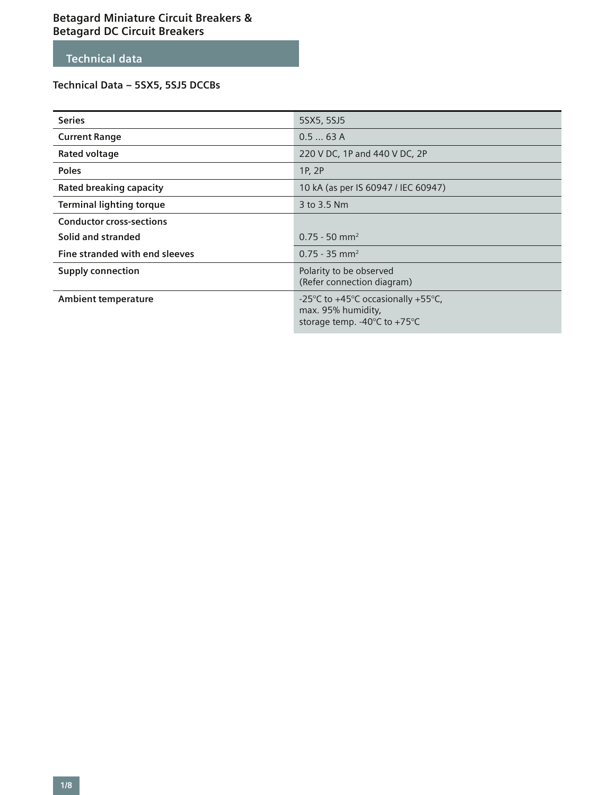# **Technical data**

# **Technical Data – 5SX5, 5SJ5 DCCBs**

| <b>Series</b>                   | 5SX5, 5SJ5                                                                                                   |
|---------------------------------|--------------------------------------------------------------------------------------------------------------|
| <b>Current Range</b>            | 0.563A                                                                                                       |
| Rated voltage                   | 220 V DC, 1P and 440 V DC, 2P                                                                                |
| <b>Poles</b>                    | 1P, 2P                                                                                                       |
| <b>Rated breaking capacity</b>  | 10 kA (as per IS 60947 / IEC 60947)                                                                          |
| <b>Terminal lighting torque</b> | 3 to 3.5 Nm                                                                                                  |
| <b>Conductor cross-sections</b> |                                                                                                              |
| Solid and stranded              | $0.75 - 50$ mm <sup>2</sup>                                                                                  |
| Fine stranded with end sleeves  | $0.75 - 35$ mm <sup>2</sup>                                                                                  |
| <b>Supply connection</b>        | Polarity to be observed<br>(Refer connection diagram)                                                        |
| <b>Ambient temperature</b>      | -25°C to +45°C occasionally +55°C,<br>max. 95% humidity,<br>storage temp. -40 $\degree$ C to +75 $\degree$ C |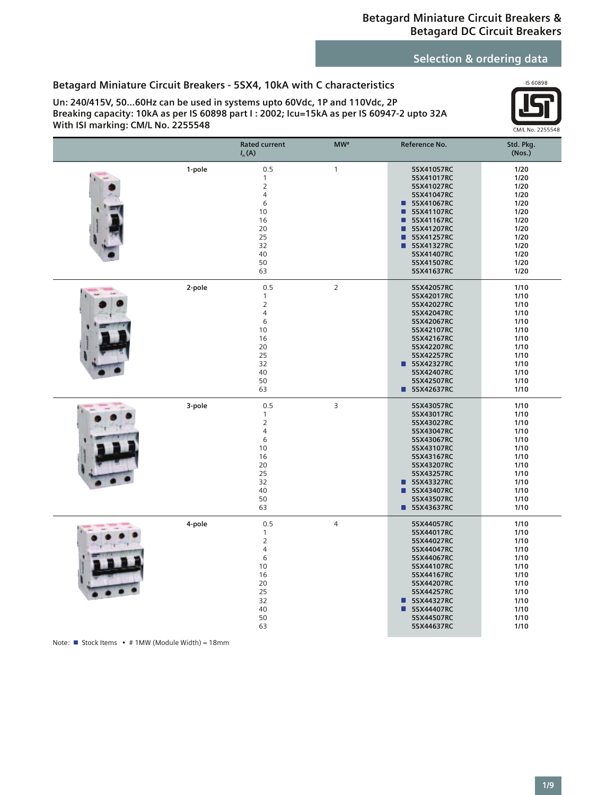# **Selection & ordering data**

# **Betagard Miniature Circuit Breakers - 5SX4, 10kA with C characteristics**

**Un: 240/415V, 50…60Hz can be used in systems upto 60Vdc, 1P and 110Vdc, 2P Breaking capacity: 10kA as per IS 60898 part I : 2002; Icu=15kA as per IS 60947-2 upto 32A With ISI marking: CM/L No. 2255548**



|        | <b>Rated current</b><br>$I_n(A)$                                                                             | $MW*$          | Reference No.                                                                                                                                                                                                    | Std. Pkg.<br>(Nos.)                                                                                  |
|--------|--------------------------------------------------------------------------------------------------------------|----------------|------------------------------------------------------------------------------------------------------------------------------------------------------------------------------------------------------------------|------------------------------------------------------------------------------------------------------|
| 1-pole | 0.5<br>$\mathbf{1}$<br>$\overline{2}$<br>$\overline{4}$<br>6<br>10<br>16<br>20<br>25<br>32<br>40<br>50<br>63 | $\mathbf{1}$   | 5SX41057RC<br>5SX41017RC<br>5SX41027RC<br>5SX41047RC<br>5SX41067RC<br>П<br>П<br>5SX41107RC<br>5SX41167RC<br>■<br>■<br>5SX41207RC<br>■<br>5SX41257RC<br>■<br>5SX41327RC<br>5SX41407RC<br>5SX41507RC<br>5SX41637RC | 1/20<br>1/20<br>1/20<br>1/20<br>1/20<br>1/20<br>1/20<br>1/20<br>1/20<br>1/20<br>1/20<br>1/20<br>1/20 |
| 2-pole | 0.5<br>1<br>$\overline{2}$<br>$\overline{4}$<br>6<br>10<br>16<br>20<br>25<br>32<br>40<br>50<br>63            | $\mathsf{2}\,$ | 5SX42057RC<br>5SX42017RC<br>5SX42027RC<br>5SX42047RC<br>5SX42067RC<br>5SX42107RC<br>5SX42167RC<br>5SX42207RC<br>5SX42257RC<br><b>55X42327RC</b><br>5SX42407RC<br>5SX42507RC<br>5SX42637RC                        | 1/10<br>1/10<br>1/10<br>1/10<br>1/10<br>1/10<br>1/10<br>1/10<br>1/10<br>1/10<br>1/10<br>1/10<br>1/10 |
| 3-pole | 0.5<br>$\mathbf{1}$<br>$\overline{2}$<br>$\overline{4}$<br>6<br>10<br>16<br>20<br>25<br>32<br>40<br>50<br>63 | 3              | 5SX43057RC<br>5SX43017RC<br>5SX43027RC<br>5SX43047RC<br>5SX43067RC<br>5SX43107RC<br>5SX43167RC<br>5SX43207RC<br>5SX43257RC<br>5SX43327RC<br>п<br>5SX43407RC<br>■<br>5SX43507RC<br><b>55X43637RC</b>              | 1/10<br>1/10<br>1/10<br>1/10<br>1/10<br>1/10<br>1/10<br>1/10<br>1/10<br>1/10<br>1/10<br>1/10<br>1/10 |
| 4-pole | 0.5<br>1<br>$\overline{2}$<br>$\overline{4}$<br>6<br>10<br>16<br>20<br>25<br>32<br>40<br>50<br>63            | $\overline{4}$ | 5SX44057RC<br>5SX44017RC<br>5SX44027RC<br>5SX44047RC<br>5SX44067RC<br>5SX44107RC<br>5SX44167RC<br>5SX44207RC<br>5SX44257RC<br>5SX44327RC<br>$\blacksquare$<br>5SX44407RC<br>П<br>5SX44507RC<br>5SX44637RC        | 1/10<br>1/10<br>1/10<br>1/10<br>1/10<br>1/10<br>1/10<br>1/10<br>1/10<br>1/10<br>1/10<br>1/10<br>1/10 |

Note: Stock Items • # 1MW (Module Width) = 18mm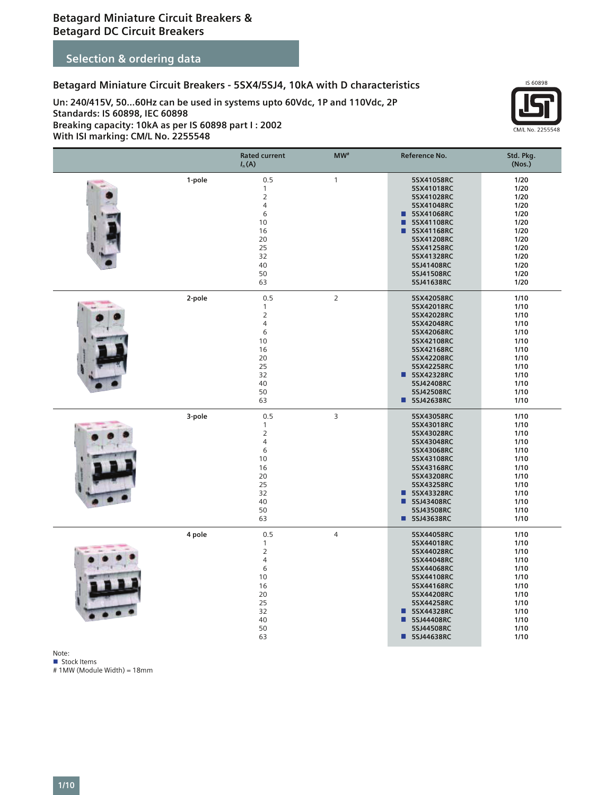# **Selection & ordering data**

### **Betagard Miniature Circuit Breakers - 5SX4/5SJ4, 10kA with D characteristics**

**Un: 240/415V, 50…60Hz can be used in systems upto 60Vdc, 1P and 110Vdc, 2P Standards: IS 60898, IEC 60898 Breaking capacity: 10kA as per IS 60898 part I : 2002**

**With ISI marking: CM/L No. 2255548**



|        | <b>Rated current</b><br>$I_n(A)$                                                                             | MW <sup>#</sup> | Reference No.                                                                                                                                                                                                  | Std. Pkg.<br>(Nos.)                                                                                  |
|--------|--------------------------------------------------------------------------------------------------------------|-----------------|----------------------------------------------------------------------------------------------------------------------------------------------------------------------------------------------------------------|------------------------------------------------------------------------------------------------------|
| 1-pole | 0.5<br>$\mathbf{1}$<br>$\overline{2}$<br>$\overline{4}$<br>6<br>10<br>16<br>20<br>25<br>32<br>40<br>50<br>63 | $\mathbf{1}$    | 5SX41058RC<br>5SX41018RC<br>5SX41028RC<br>5SX41048RC<br>5SX41068RC<br>$\blacksquare$<br>п<br>5SX41108RC<br>■<br>5SX41168RC<br>5SX41208RC<br>5SX41258RC<br>5SX41328RC<br>5SJ41408RC<br>5SJ41508RC<br>5SJ41638RC | 1/20<br>1/20<br>1/20<br>1/20<br>1/20<br>1/20<br>1/20<br>1/20<br>1/20<br>1/20<br>1/20<br>1/20<br>1/20 |
| 2-pole | 0.5<br>$\mathbf{1}$<br>$\sqrt{2}$<br>$\overline{4}$<br>6<br>10<br>16<br>20<br>25<br>32<br>40<br>50<br>63     | 2               | 5SX42058RC<br>5SX42018RC<br>5SX42028RC<br>5SX42048RC<br>5SX42068RC<br>5SX42108RC<br>5SX42168RC<br>5SX42208RC<br>5SX42258RC<br>55X42328RC<br>5SJ42408RC<br>5SJ42508RC<br>5SJ42638RC<br>$\blacksquare$           | 1/10<br>1/10<br>1/10<br>1/10<br>1/10<br>1/10<br>1/10<br>1/10<br>1/10<br>1/10<br>1/10<br>1/10<br>1/10 |
| 3-pole | 0.5<br>$\mathbf{1}$<br>$\overline{2}$<br>$\overline{4}$<br>6<br>10<br>16<br>20<br>25<br>32<br>40<br>50<br>63 | 3               | 5SX43058RC<br>5SX43018RC<br>5SX43028RC<br>5SX43048RC<br>5SX43068RC<br>5SX43108RC<br>5SX43168RC<br>5SX43208RC<br>5SX43258RC<br>5SX43328RC<br>■<br>5SJ43408RC<br>■<br>5SJ43508RC<br>5SJ43638RC<br>$\blacksquare$ | 1/10<br>1/10<br>1/10<br>1/10<br>1/10<br>1/10<br>1/10<br>1/10<br>1/10<br>1/10<br>1/10<br>1/10<br>1/10 |
| 4 pole | 0.5<br>$\mathbf{1}$<br>$\mathbf 2$<br>$\overline{4}$<br>6<br>10<br>16<br>20<br>25<br>32<br>40<br>50<br>63    | 4               | 5SX44058RC<br>5SX44018RC<br>5SX44028RC<br>5SX44048RC<br>5SX44068RC<br>5SX44108RC<br>5SX44168RC<br>5SX44208RC<br>5SX44258RC<br>5SX44328RC<br>П<br>5SJ44408RC<br>П<br>5SJ44508RC<br>5SJ44638RC<br>$\blacksquare$ | 1/10<br>1/10<br>1/10<br>1/10<br>1/10<br>1/10<br>1/10<br>1/10<br>1/10<br>1/10<br>1/10<br>1/10<br>1/10 |

Note: Stock Items

# 1MW (Module Width) = 18mm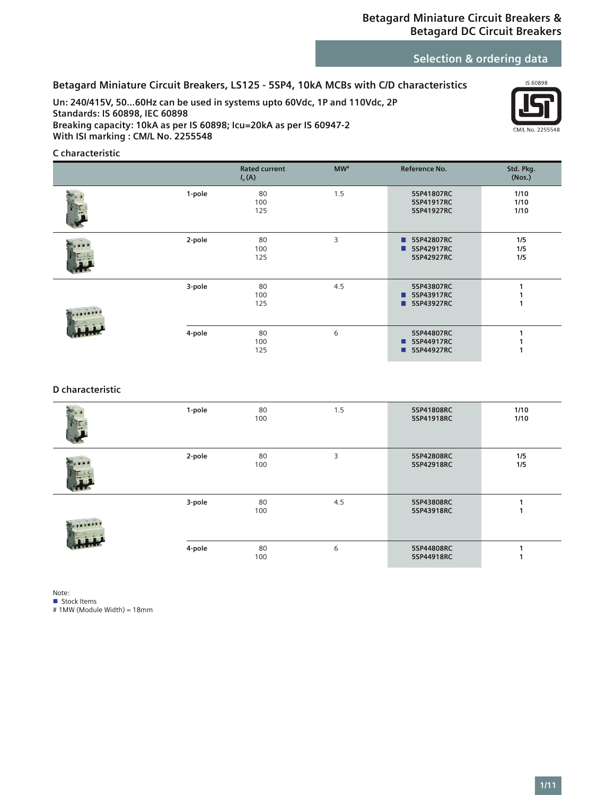# **Selection & ordering data**

# **Betagard Miniature Circuit Breakers, LS125 - 5SP4, 10kA MCBs with C/D characteristics**

**Un: 240/415V, 50…60Hz can be used in systems upto 60Vdc, 1P and 110Vdc, 2P Standards: IS 60898, IEC 60898 Breaking capacity: 10kA as per IS 60898; Icu=20kA as per IS 60947-2 With ISI marking : CM/L No. 2255548**



### **C characteristic**

|        | <b>Rated current</b><br>$I_n(A)$ | $MW*$ | Reference No.                                    | Std. Pkg.<br>(Nos.)  |
|--------|----------------------------------|-------|--------------------------------------------------|----------------------|
| 1-pole | 80<br>100<br>125                 | 1.5   | 5SP41807RC<br>5SP41917RC<br>5SP41927RC           | 1/10<br>1/10<br>1/10 |
| 2-pole | 80<br>100<br>125                 | 3     | 5SP42807RC<br>▬<br>5SP42917RC<br>■<br>5SP42927RC | 1/5<br>1/5<br>1/5    |
| 3-pole | 80<br>100<br>125                 | 4.5   | 5SP43807RC<br>5SP43917RC<br>■<br>5SP43927RC      |                      |
| 4-pole | 80<br>100<br>125                 | 6     | 5SP44807RC<br>5SP44917RC<br>П<br>5SP44927RC      |                      |

### **D characteristic**

| 1-pole | 80<br>100 | 1.5 | 5SP41808RC<br>5SP41918RC | 1/10<br>1/10 |
|--------|-----------|-----|--------------------------|--------------|
| 2-pole | 80<br>100 | 3   | 5SP42808RC<br>5SP42918RC | 1/5<br>1/5   |
| 3-pole | 80<br>100 | 4.5 | 5SP43808RC<br>5SP43918RC |              |
| 4-pole | 80<br>100 | 6   | 5SP44808RC<br>5SP44918RC |              |

Note:

**Stock Items** 

# 1MW (Module Width) = 18mm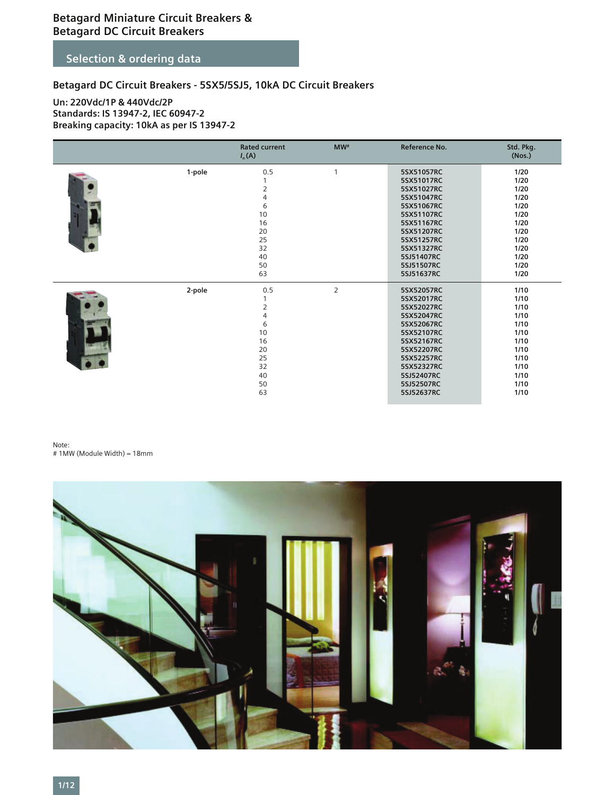# **Selection & ordering data**

# **Betagard DC Circuit Breakers - 5SX5/5SJ5, 10kA DC Circuit Breakers**

### **Un: 220Vdc/1P & 440Vdc/2P Standards: IS 13947-2, IEC 60947-2 Breaking capacity: 10kA as per IS 13947-2**

|        | <b>Rated current</b><br>$I_n(A)$                                                                  | MW#            | Reference No.                                                                                                                                                                      | Std. Pkg.<br>(Nos.)                                                                                      |
|--------|---------------------------------------------------------------------------------------------------|----------------|------------------------------------------------------------------------------------------------------------------------------------------------------------------------------------|----------------------------------------------------------------------------------------------------------|
| 1-pole | 0.5<br>1<br>$\overline{2}$<br>4<br>6<br>10<br>16<br>20<br>25<br>32<br>40<br>50<br>63              | $\mathbf{1}$   | 5SX51057RC<br>5SX51017RC<br>5SX51027RC<br>5SX51047RC<br>5SX51067RC<br>5SX51107RC<br>5SX51167RC<br>5SX51207RC<br>5SX51257RC<br>5SX51327RC<br>5SJ51407RC<br>5SJ51507RC<br>5SJ51637RC | 1/20<br>1/20<br>1/20<br>1/20<br>$1/20$<br>1/20<br>$1/20$<br>1/20<br>1/20<br>1/20<br>1/20<br>1/20<br>1/20 |
| 2-pole | 0.5<br>1<br>$\overline{2}$<br>$\overline{4}$<br>6<br>10<br>16<br>20<br>25<br>32<br>40<br>50<br>63 | $\overline{2}$ | 5SX52057RC<br>5SX52017RC<br>5SX52027RC<br>5SX52047RC<br>5SX52067RC<br>5SX52107RC<br>5SX52167RC<br>5SX52207RC<br>5SX52257RC<br>5SX52327RC<br>5SJ52407RC<br>5SJ52507RC<br>5SJ52637RC | 1/10<br>1/10<br>1/10<br>1/10<br>1/10<br>1/10<br>1/10<br>1/10<br>1/10<br>1/10<br>1/10<br>1/10<br>1/10     |

#### Note: # 1MW (Module Width) = 18mm

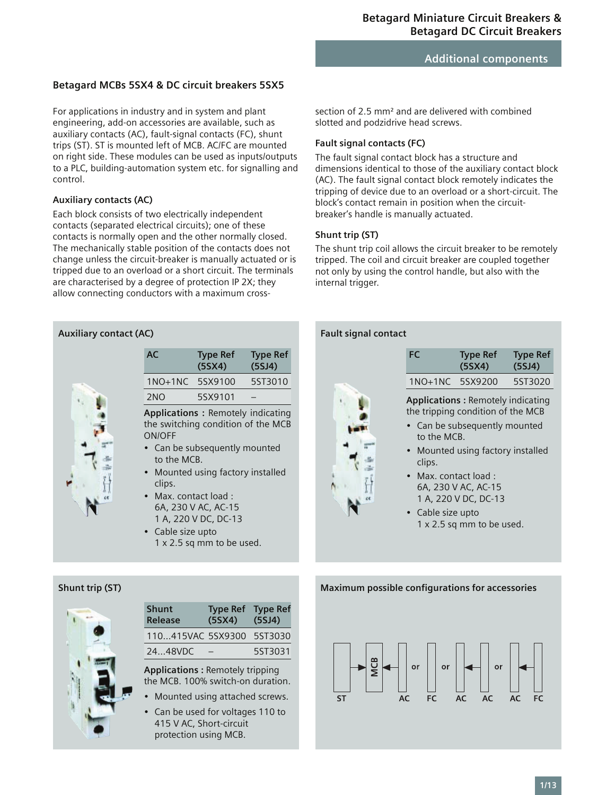### **Betagard MCBs 5SX4 & DC circuit breakers 5SX5**

For applications in industry and in system and plant engineering, add-on accessories are available, such as auxiliary contacts (AC), fault-signal contacts (FC), shunt trips (ST). ST is mounted left of MCB. AC/FC are mounted on right side. These modules can be used as inputs/outputs to a PLC, building-automation system etc. for signalling and control.

### **Auxiliary contacts (AC)**

Each block consists of two electrically independent contacts (separated electrical circuits); one of these contacts is normally open and the other normally closed. The mechanically stable position of the contacts does not change unless the circuit-breaker is manually actuated or is tripped due to an overload or a short circuit. The terminals are characterised by a degree of protection IP 2X; they allow connecting conductors with a maximum cross-



section of 2.5 mm² and are delivered with combined slotted and podzidrive head screws.

### **Fault signal contacts (FC)**

The fault signal contact block has a structure and dimensions identical to those of the auxiliary contact block (AC). The fault signal contact block remotely indicates the tripping of device due to an overload or a short-circuit. The block's contact remain in position when the circuitbreaker's handle is manually actuated.

### **Shunt trip (ST)**

The shunt trip coil allows the circuit breaker to be remotely tripped. The coil and circuit breaker are coupled together not only by using the control handle, but also with the internal trigger.

| 1NO+1NC 5SX9200<br>5ST3020<br><b>Applications: Remotely indicating</b><br>the tripping condition of the MCB<br>Can be subsequently mounted<br>to the MCB.<br>Mounted using factory installed<br>clips.<br>$\bullet$ -Max, contact load :<br>6A, 230 V AC, AC-15<br>1 A, 220 V DC, DC-13<br>Cable size upto<br>$1 \times 2.5$ sq mm to be used. | <b>FC</b> | Type Ref<br>(55X4) | <b>Type Ref</b><br>(5SJ4) |
|------------------------------------------------------------------------------------------------------------------------------------------------------------------------------------------------------------------------------------------------------------------------------------------------------------------------------------------------|-----------|--------------------|---------------------------|
|                                                                                                                                                                                                                                                                                                                                                |           |                    |                           |
|                                                                                                                                                                                                                                                                                                                                                |           |                    |                           |



### **Shunt trip (ST) Maximum possible configurations for accessories for accessories for accessories**



| <b>Shunt</b><br>Release   | Type Ref Type Ref<br>(5S <sub>X</sub> 4) | (5SJ4)  |
|---------------------------|------------------------------------------|---------|
| 110415VAC 5SX9300 5ST3030 |                                          |         |
| 2448VDC                   |                                          | 5ST3031 |
|                           |                                          |         |

**Applications :** Remotely tripping the MCB. 100% switch-on duration.

- Mounted using attached screws.
- Can be used for voltages 110 to 415 V AC, Short-circuit protection using MCB.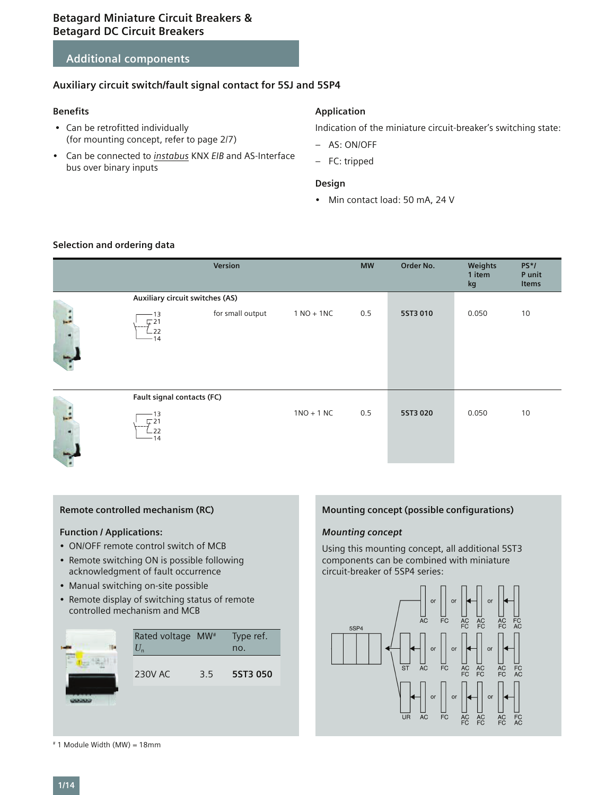# **Additional components**

### **Auxiliary circuit switch/fault signal contact for 5SJ and 5SP4**

### **Benefits**

- Can be retrofitted individually (for mounting concept, refer to page 2/7)
- Can be connected to *instabus* KNX *EIB* and AS-Interface bus over binary inputs

### **Application**

Indication of the miniature circuit-breaker's switching state:

- AS: ON/OFF
- FC: tripped

### **Design**

• Min contact load: 50 mA, 24 V

### **Selection and ordering data**

|                    |                                 | Version          |              | <b>MW</b> | Order No. | Weights<br>1 item<br>kg | $PS^*/$<br>P unit<br>Items |
|--------------------|---------------------------------|------------------|--------------|-----------|-----------|-------------------------|----------------------------|
|                    | Auxiliary circuit switches (AS) |                  |              |           |           |                         |                            |
| ×.                 | 13<br>ㄷ21<br>.22<br>14          | for small output | $1 NO + 1NC$ | 0.5       | 5ST3 010  | 0.050                   | 10                         |
|                    | Fault signal contacts (FC)      |                  |              |           |           |                         |                            |
| <b>Branch</b><br>Ξ | 13<br>" 21<br>.22<br>$-14$      |                  | $1NO + 1 NC$ | 0.5       | 5ST3 020  | 0.050                   | 10                         |

### **Remote controlled mechanism (RC)**

### **Function / Applications:**

- ON/OFF remote control switch of MCB
- Remote switching ON is possible following acknowledgment of fault occurrence
- Manual switching on-site possible
- Remote display of switching status of remote controlled mechanism and MCB



### **Mounting concept (possible configurations)**

### *Mounting concept*

Using this mounting concept, all additional 5ST3 components can be combined with miniature circuit-breaker of 5SP4 series:



# 1 Module Width (MW) = 18mm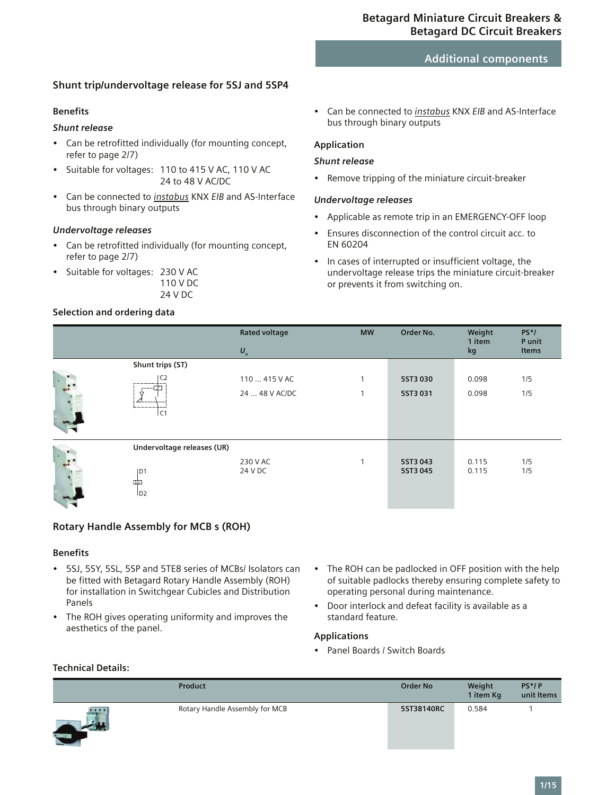# **Shunt trip/undervoltage release for 5SJ and 5SP4**

### **Benefits**

# *Shunt release*

- Can be retrofitted individually (for mounting concept, refer to page 2/7)
- Suitable for voltages: 110 to 415 V AC, 110 V AC 24 to 48 V AC/DC
- Can be connected to *instabus* KNX *EIB* and AS-Interface bus through binary outputs

### *Undervoltage releases*

- Can be retrofitted individually (for mounting concept, refer to page 2/7)
- Suitable for voltages: 230 V AC 110 V DC 24 V DC

### **Selection and ordering data**

• Can be connected to *instabus* KNX *EIB* and AS-Interface bus through binary outputs

### **Application**

### *Shunt release*

• Remove tripping of the miniature circuit-breaker

### *Undervoltage releases*

- Applicable as remote trip in an EMERGENCY-OFF loop
- Ensures disconnection of the control circuit acc. to EN 60204
- In cases of interrupted or insufficient voltage, the undervoltage release trips the miniature circuit-breaker or prevents it from switching on.

|                            | <b>Rated voltage</b><br>$\mathbf{U}_n$ | <b>MW</b>    | Order No.            | Weight<br>1 item<br>kg | $PS^*/$<br>P unit<br>Items |
|----------------------------|----------------------------------------|--------------|----------------------|------------------------|----------------------------|
| Shunt trips (ST)           |                                        |              |                      |                        |                            |
| C2                         | 110  415 V AC                          | $\mathbf{I}$ | 5ST3 030             | 0.098                  | 1/5                        |
| ᠇<br>l C1                  | 24  48 V AC/DC                         |              | 5ST3 031             | 0.098                  | 1/5                        |
| Undervoltage releases (UR) |                                        |              |                      |                        |                            |
| D1<br>呠<br>1D2             | 230 V AC<br>24 V DC                    |              | 5ST3 043<br>5ST3 045 | 0.115<br>0.115         | 1/5<br>1/5                 |

### **Rotary Handle Assembly for MCB s (ROH)**

### **Benefits**

- 5SJ, 5SY, 5SL, 5SP and 5TE8 series of MCBs/ Isolators can be fitted with Betagard Rotary Handle Assembly (ROH) for installation in Switchgear Cubicles and Distribution Panels
- The ROH gives operating uniformity and improves the aesthetics of the panel.
- The ROH can be padlocked in OFF position with the help of suitable padlocks thereby ensuring complete safety to operating personal during maintenance.
- Door interlock and defeat facility is available as a standard feature.

### **Applications**

• Panel Boards / Switch Boards

### **Technical Details:**

|                           | <b>Product</b>                 | <b>Order No</b> | Weight<br>1 item Kg | $PS^*/P$<br>unit Items |
|---------------------------|--------------------------------|-----------------|---------------------|------------------------|
| $\frac{1}{2}$<br>$45 - 2$ | Rotary Handle Assembly for MCB | 5ST38140RC      | 0.584               |                        |